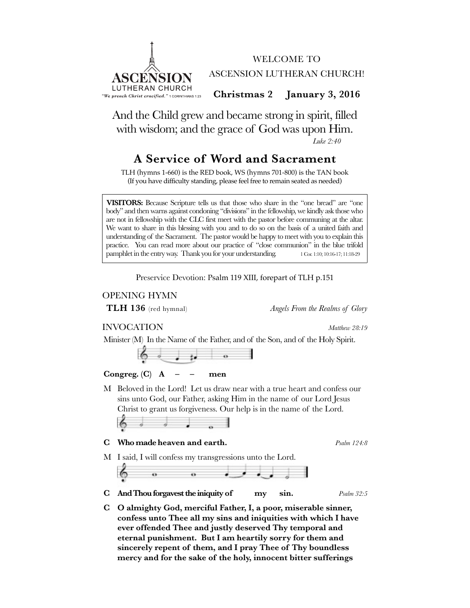



**Christmas 2 January 3, 2016**

And the Child grew and became strong in spirit, filled with wisdom; and the grace of God was upon Him. *Luke 2:40*

# **A Service of Word and Sacrament**

TLH (hymns 1-660) is the RED book, WS (hymns 701-800) is the TAN book (If you have difficulty standing, please feel free to remain seated as needed)

**VISITORS:** Because Scripture tells us that those who share in the "one bread" are "one body" and then warns against condoning "divisions" in the fellowship, we kindly ask those who are not in fellowship with the CLC first meet with the pastor before communing at the altar. We want to share in this blessing with you and to do so on the basis of a united faith and understanding of the Sacrament. The pastor would be happy to meet with you to explain this practice. You can read more about our practice of "close communion" in the blue trifold pamphlet in the entry way. Thank you for your understanding. 1 Cor. 1:10; 10:16-17; 11:18-29

Preservice Devotion: Psalm 119 XIII, forepart of TLH p.151

# OPENING HYMN

**TLH 136** (red hymnal) *Angels From the Realms of Glory*

# INVOCATION *Matthew 28:19*

Minister (M) In the Name of the Father, and of the Son, and of the Holy Spirit.

# **Congreg. (C) A – – men**

M Beloved in the Lord! Let us draw near with a true heart and confess our sins unto God, our Father, asking Him in the name of our Lord Jesus Christ to grant us forgiveness. Our help is in the name of the Lord.

$$
\delta \rightarrow \delta \rightarrow \delta
$$

**C Who made heaven and earth.** *Psalm 124:8*

M I said, I will confess my transgressions unto the Lord.

- **C And Thou forgavest the iniquity of my sin.** *Psalm 32:5*
- **C O almighty God, merciful Father, I, a poor, miserable sinner, confess unto Thee all my sins and iniquities with which I have ever offended Thee and justly deserved Thy temporal and eternal punishment. But I am heartily sorry for them and sincerely repent of them, and I pray Thee of Thy boundless mercy and for the sake of the holy, innocent bitter sufferings**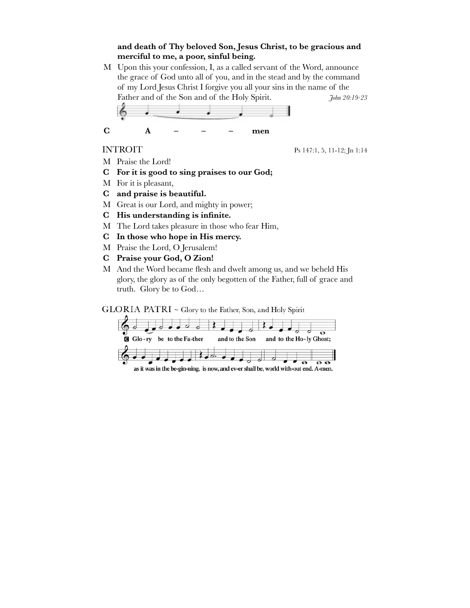# **and death of Thy beloved Son, Jesus Christ, to be gracious and merciful to me, a poor, sinful being.**

M Upon this your confession, I, as a called servant of the Word, announce the grace of God unto all of you, and in the stead and by the command of my Lord Jesus Christ I forgive you all your sins in the name of the Father and of the Son and of the Holy Spirit. *John 20:19-23* **C A – – – men**

INTROIT Ps 147:1, 5, 11-12; Jn 1:14

- M Praise the Lord!
- **C For it is good to sing praises to our God;**
- M For it is pleasant,
- **C and praise is beautiful.**
- M Great is our Lord, and mighty in power;
- **C His understanding is infinite.**
- M The Lord takes pleasure in those who fear Him,
- **C In those who hope in His mercy.**
- M Praise the Lord, O Jerusalem!
- **C Praise your God, O Zion!**
- M And the Word became flesh and dwelt among us, and we beheld His glory, the glory as of the only begotten of the Father, full of grace and truth. Glory be to God…

 $GLORIA$  PATRI  $\sim$  Glory to the Father, Son, and Holy Spirit



as it was in the be-gin-ning, is now, and ev-er shall be, world with-out end. A-men.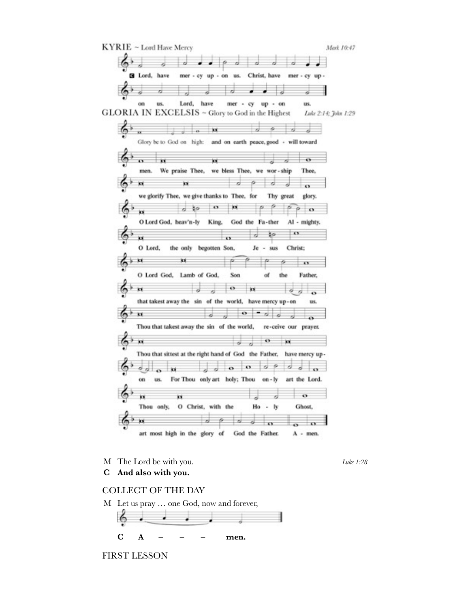

M The Lord be with you.

Luke 1:28

And also with you.  $\mathbf C$ 

### **COLLECT OF THE DAY**

M Let us pray ... one God, now and forever,



**FIRST LESSON**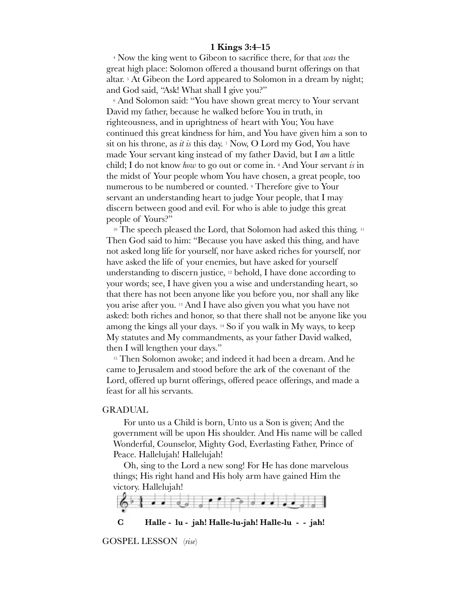#### **1 Kings 3:4–15**

4 Now the king went to Gibeon to sacrifice there, for that *was* the great high place: Solomon offered a thousand burnt offerings on that altar. 5 At Gibeon the Lord appeared to Solomon in a dream by night; and God said, "Ask! What shall I give you?"

6 And Solomon said: "You have shown great mercy to Your servant David my father, because he walked before You in truth, in righteousness, and in uprightness of heart with You; You have continued this great kindness for him, and You have given him a son to sit on his throne, as *it is* this day. 7 Now, O Lord my God, You have made Your servant king instead of my father David, but I *am* a little child; I do not know *how* to go out or come in. 8 And Your servant *is* in the midst of Your people whom You have chosen, a great people, too numerous to be numbered or counted. 9 Therefore give to Your servant an understanding heart to judge Your people, that I may discern between good and evil. For who is able to judge this great people of Yours?"

<sup>10</sup> The speech pleased the Lord, that Solomon had asked this thing. <sup>11</sup> Then God said to him: "Because you have asked this thing, and have not asked long life for yourself, nor have asked riches for yourself, nor have asked the life of your enemies, but have asked for yourself understanding to discern justice, 12 behold, I have done according to your words; see, I have given you a wise and understanding heart, so that there has not been anyone like you before you, nor shall any like you arise after you. 13 And I have also given you what you have not asked: both riches and honor, so that there shall not be anyone like you among the kings all your days. 14 So if you walk in My ways, to keep My statutes and My commandments, as your father David walked, then I will lengthen your days."

<sup>15</sup> Then Solomon awoke; and indeed it had been a dream. And he came to Jerusalem and stood before the ark of the covenant of the Lord, offered up burnt offerings, offered peace offerings, and made a feast for all his servants.

#### GRADUAL

For unto us a Child is born, Unto us a Son is given; And the government will be upon His shoulder. And His name will be called Wonderful, Counselor, Mighty God, Everlasting Father, Prince of Peace. Hallelujah! Hallelujah!

Oh, sing to the Lord a new song! For He has done marvelous things; His right hand and His holy arm have gained Him the victory. Hallelujah!



**C Halle - lu - jah! Halle-lu-jah! Halle-lu - - jah!**

GOSPEL LESSON(*rise*)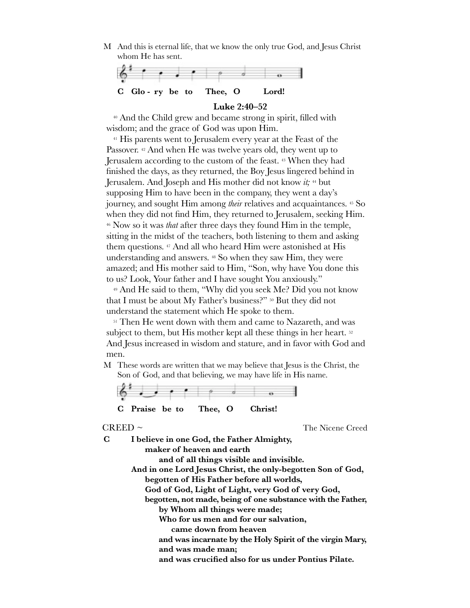M And this is eternal life, that we know the only true God, and Jesus Christ whom He has sent.



#### **Luke 2:40–52**

40 And the Child grew and became strong in spirit, filled with wisdom; and the grace of God was upon Him.

41 His parents went to Jerusalem every year at the Feast of the Passover. 42 And when He was twelve years old, they went up to Jerusalem according to the custom of the feast. 43 When they had finished the days, as they returned, the Boy Jesus lingered behind in Jerusalem. And Joseph and His mother did not know *it;* 44 but supposing Him to have been in the company, they went a day's journey, and sought Him among *their* relatives and acquaintances. 45 So when they did not find Him, they returned to Jerusalem, seeking Him. 46 Now so it was *that* after three days they found Him in the temple, sitting in the midst of the teachers, both listening to them and asking them questions. 47 And all who heard Him were astonished at His understanding and answers. 48 So when they saw Him, they were amazed; and His mother said to Him, "Son, why have You done this to us? Look, Your father and I have sought You anxiously."

49 And He said to them, "Why did you seek Me? Did you not know that I must be about My Father's business?" 50 But they did not understand the statement which He spoke to them.

<sup>51</sup> Then He went down with them and came to Nazareth, and was subject to them, but His mother kept all these things in her heart. 52 And Jesus increased in wisdom and stature, and in favor with God and men.

M These words are written that we may believe that Jesus is the Christ, the Son of God, and that believing, we may have life in His name.



**C Praise be to Thee, O Christ!**

CREED ~ The Nicene Creed

**C I believe in one God, the Father Almighty, maker of heaven and earth and of all things visible and invisible. And in one Lord Jesus Christ, the only-begotten Son of God, begotten of His Father before all worlds, God of God, Light of Light, very God of very God, begotten, not made, being of one substance with the Father, by Whom all things were made; Who for us men and for our salvation, came down from heaven**  and was incarnate by the Holy Spirit of the virgin Mary,  **and was made man; and was crucified also for us under Pontius Pilate.**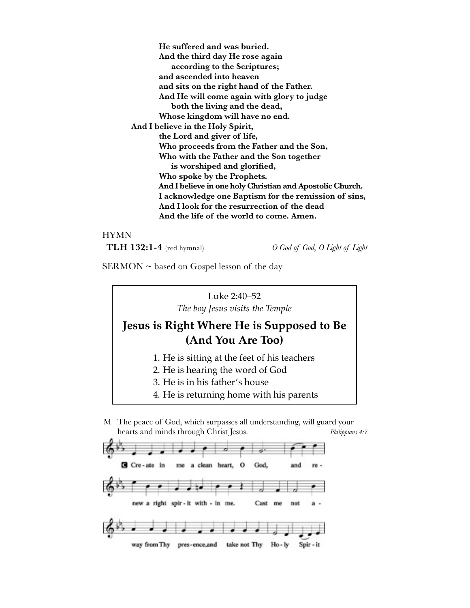**He suffered and was buried. And the third day He rose again according to the Scriptures; and ascended into heaven and sits on the right hand of the Father. And He will come again with glory to judge both the living and the dead, Whose kingdom will have no end. And I believe in the Holy Spirit, the Lord and giver of life, Who proceeds from the Father and the Son, Who with the Father and the Son together is worshiped and glorified, Who spoke by the Prophets.**  And I believe in one holy Christian and Apostolic Church. I acknowledge one Baptism for the remission of sins,  **And I look for the resurrection of the dead**  And the life of the world to come. Amen.

#### HYMN

**TLH 132:1-4** (red hymnal) *O God of God, O Light of Light*

 $SERMON \sim$  based on Gospel lesson of the day

Luke 2:40–52 *The boy Jesus visits the Temple*

# **Jesus is Right Where He is Supposed to Be (And You Are Too)**

- 1. He is sitting at the feet of his teachers
- 2. He is hearing the word of God
- 3. He is in his father's house
- 4. He is returning home with his parents
- M The peace of God, which surpasses all understanding, will guard your hearts and minds through Christ Jesus. *Philippians 4:7*

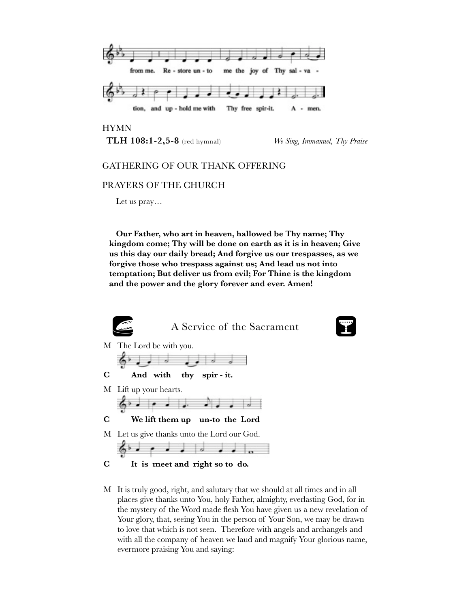

HYMN

**TLH 108:1-2,5-8** (red hymnal) *We Sing, Immanuel, Thy Praise*

# GATHERING OF OUR THANK OFFERING

#### PRAYERS OF THE CHURCH

Let us pray…

**Our Father, who art in heaven, hallowed be Thy name; Thy kingdom come; Thy will be done on earth as it is in heaven; Give us this day our daily bread; And forgive us our trespasses, as we forgive those who trespass against us; And lead us not into temptation; But deliver us from evil; For Thine is the kingdom and the power and the glory forever and ever. Amen!**



M It is truly good, right, and salutary that we should at all times and in all places give thanks unto You, holy Father, almighty, everlasting God, for in the mystery of the Word made flesh You have given us a new revelation of Your glory, that, seeing You in the person of Your Son, we may be drawn to love that which is not seen. Therefore with angels and archangels and with all the company of heaven we laud and magnify Your glorious name, evermore praising You and saying: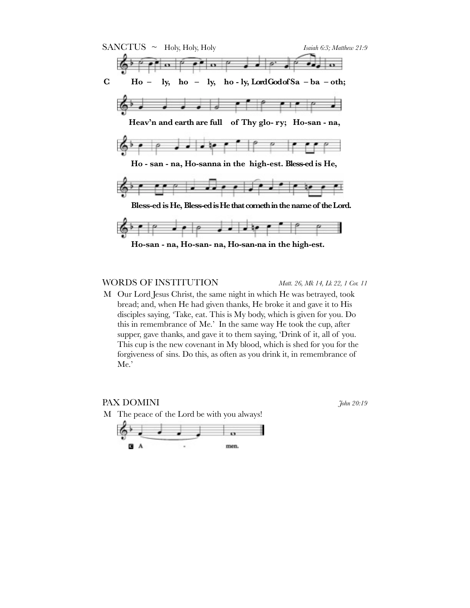

### WORDS OF INSTITUTION *Matt. 26, Mk 14, Lk 22, 1 Cor. 11*

 $A$ 

M Our Lord Jesus Christ, the same night in which He was betrayed, took bread; and, when He had given thanks, He broke it and gave it to His disciples saying, 'Take, eat. This is My body, which is given for you. Do this in remembrance of Me.' In the same way He took the cup, after supper, gave thanks, and gave it to them saying, 'Drink of it, all of you. This cup is the new covenant in My blood, which is shed for you for the forgiveness of sins. Do this, as often as you drink it, in remembrance of Me.'

men.

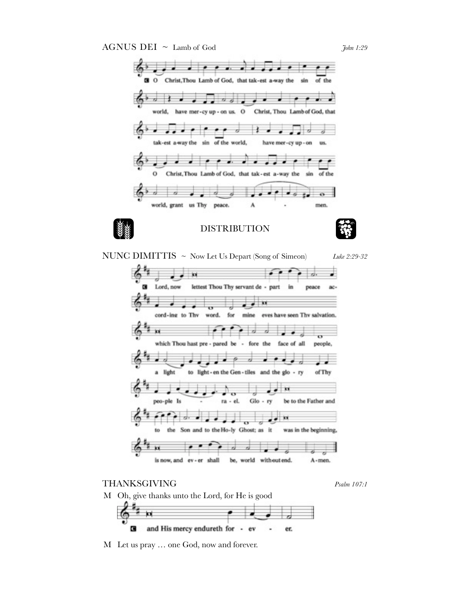AGNUS DEI ~ Lamb of God *John 1:29* 



NUNC DIMITTIS ~ Now Let Us Depart (Song of Simeon) *Luke 2:29-32*



# THANKSGIVING *Psalm 107:1*

M Oh, give thanks unto the Lord, for He is good



and His mercy endureth for - ev G er.

M Let us pray … one God, now and forever.